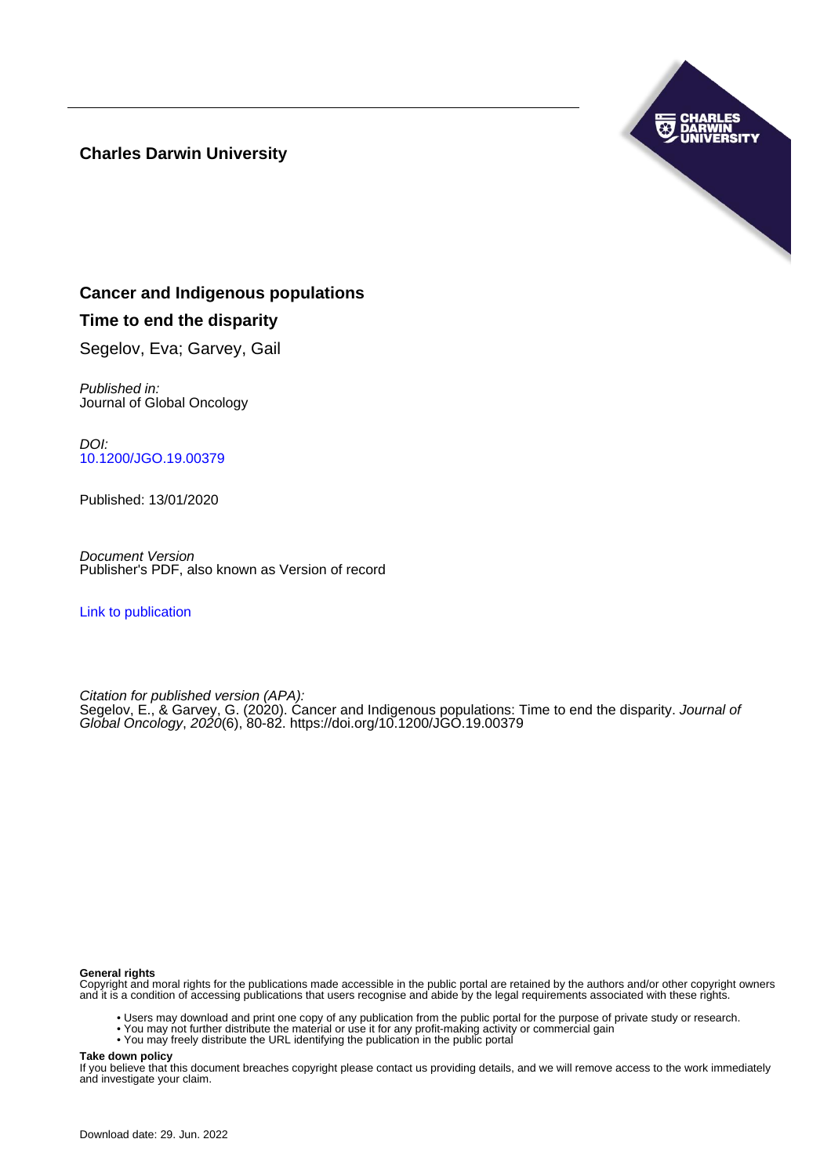## **Charles Darwin University**



## **Cancer and Indigenous populations**

## **Time to end the disparity**

Segelov, Eva; Garvey, Gail

Published in: Journal of Global Oncology

DOI: [10.1200/JGO.19.00379](https://doi.org/10.1200/JGO.19.00379)

Published: 13/01/2020

Document Version Publisher's PDF, also known as Version of record

[Link to publication](https://researchers.cdu.edu.au/en/publications/ad79ec87-6474-4298-85a9-f30b97d9b986)

Citation for published version (APA): Segelov, E., & Garvey, G. (2020). Cancer and Indigenous populations: Time to end the disparity. Journal of Global Oncology, 2020(6), 80-82. <https://doi.org/10.1200/JGO.19.00379>

#### **General rights**

Copyright and moral rights for the publications made accessible in the public portal are retained by the authors and/or other copyright owners and it is a condition of accessing publications that users recognise and abide by the legal requirements associated with these rights.

- Users may download and print one copy of any publication from the public portal for the purpose of private study or research.
- You may not further distribute the material or use it for any profit-making activity or commercial gain
- You may freely distribute the URL identifying the publication in the public portal

**Take down policy**

If you believe that this document breaches copyright please contact us providing details, and we will remove access to the work immediately and investigate your claim.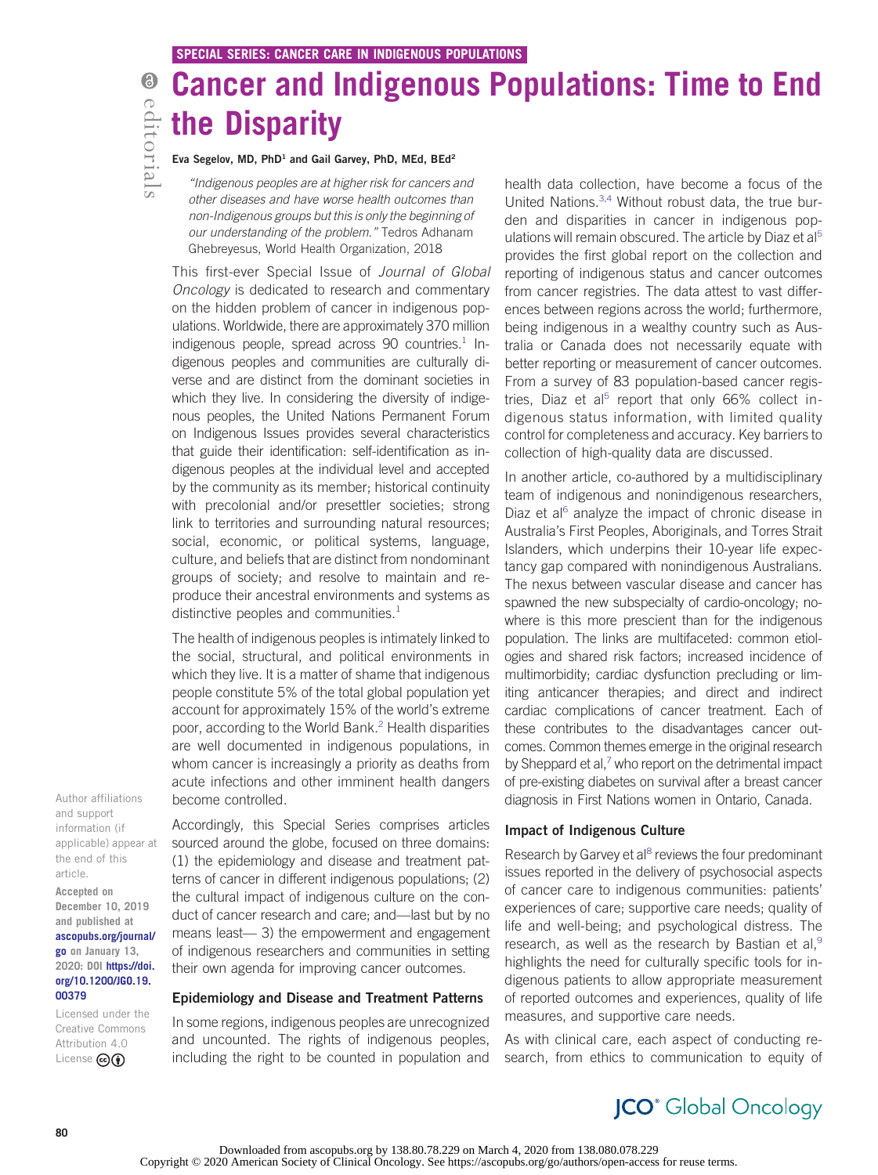# Cancer and Indigenous Populations: Time to End the Disparity

#### Eva Segelov, MD, PhD<sup>1</sup> and Gail Garvey, PhD, MEd, BEd<sup>2</sup>

"Indigenous peoples are at higher risk for cancers and other diseases and have worse health outcomes than non-Indigenous groups but this is only the beginning of our understanding of the problem." Tedros Adhanam Ghebreyesus, World Health Organization, 2018

This first-ever Special Issue of Journal of Global Oncology is dedicated to research and commentary on the hidden problem of cancer in indigenous populations. Worldwide, there are approximately 370 million indigenous people, spread across 90 countries.<sup>[1](#page-3-0)</sup> Indigenous peoples and communities are culturally diverse and are distinct from the dominant societies in which they live. In considering the diversity of indigenous peoples, the United Nations Permanent Forum on Indigenous Issues provides several characteristics that guide their identification: self-identification as indigenous peoples at the individual level and accepted by the community as its member; historical continuity with precolonial and/or presettler societies; strong link to territories and surrounding natural resources; social, economic, or political systems, language, culture, and beliefs that are distinct from nondominant groups of society; and resolve to maintain and reproduce their ancestral environments and systems as distinctive peoples and communities. $<sup>1</sup>$  $<sup>1</sup>$  $<sup>1</sup>$ </sup>

The health of indigenous peoples is intimately linked to the social, structural, and political environments in which they live. It is a matter of shame that indigenous people constitute 5% of the total global population yet account for approximately 15% of the world's extreme poor, according to the World Bank[.2](#page-3-1) Health disparities are well documented in indigenous populations, in whom cancer is increasingly a priority as deaths from acute infections and other imminent health dangers become controlled.

Author affiliations and support information (if applicable) appear at the end of this article.

Accepted on December 10, 2019 and published at [ascopubs.org/journal/](http://ascopubs.org/journal/go) [go](http://ascopubs.org/journal/go) on January 13, 2020: DOI [https://doi.](http://ascopubs.org/doi/full/10.1200/JGO.19.00379) [org/10.1200/JGO.19.](http://ascopubs.org/doi/full/10.1200/JGO.19.00379) [00379](http://ascopubs.org/doi/full/10.1200/JGO.19.00379)

Licensed under the Creative Commons Attribution 4.0 License **@** 

Accordingly, this Special Series comprises articles sourced around the globe, focused on three domains: (1) the epidemiology and disease and treatment patterns of cancer in different indigenous populations; (2) the cultural impact of indigenous culture on the conduct of cancer research and care; and—last but by no means least— 3) the empowerment and engagement of indigenous researchers and communities in setting their own agenda for improving cancer outcomes.

#### Epidemiology and Disease and Treatment Patterns

In some regions, indigenous peoples are unrecognized and uncounted. The rights of indigenous peoples, including the right to be counted in population and

health data collection, have become a focus of the United Nations.[3,](#page-3-2)[4](#page-3-3) Without robust data, the true burden and disparities in cancer in indigenous pop-ulations will remain obscured. The article by Diaz et al<sup>[5](#page-3-4)</sup> provides the first global report on the collection and reporting of indigenous status and cancer outcomes from cancer registries. The data attest to vast differences between regions across the world; furthermore, being indigenous in a wealthy country such as Australia or Canada does not necessarily equate with better reporting or measurement of cancer outcomes. From a survey of 83 population-based cancer regis-tries, Diaz et al<sup>[5](#page-3-4)</sup> report that only  $66\%$  collect indigenous status information, with limited quality control for completeness and accuracy. Key barriers to collection of high-quality data are discussed.

In another article, co-authored by a multidisciplinary team of indigenous and nonindigenous researchers, Diaz et al $<sup>6</sup>$  $<sup>6</sup>$  $<sup>6</sup>$  analyze the impact of chronic disease in</sup> Australia's First Peoples, Aboriginals, and Torres Strait Islanders, which underpins their 10-year life expectancy gap compared with nonindigenous Australians. The nexus between vascular disease and cancer has spawned the new subspecialty of cardio-oncology; nowhere is this more prescient than for the indigenous population. The links are multifaceted: common etiologies and shared risk factors; increased incidence of multimorbidity; cardiac dysfunction precluding or limiting anticancer therapies; and direct and indirect cardiac complications of cancer treatment. Each of these contributes to the disadvantages cancer outcomes. Common themes emerge in the original research by Sheppard et al, $^7$  who report on the detrimental impact of pre-existing diabetes on survival after a breast cancer diagnosis in First Nations women in Ontario, Canada.

#### Impact of Indigenous Culture

Research by Garvey et al<sup>8</sup> reviews the four predominant issues reported in the delivery of psychosocial aspects of cancer care to indigenous communities: patients' experiences of care; supportive care needs; quality of life and well-being; and psychological distress. The research, as well as the research by Bastian et al,<sup>[9](#page-3-8)</sup> highlights the need for culturally specific tools for indigenous patients to allow appropriate measurement of reported outcomes and experiences, quality of life measures, and supportive care needs.

As with clinical care, each aspect of conducting research, from ethics to communication to equity of

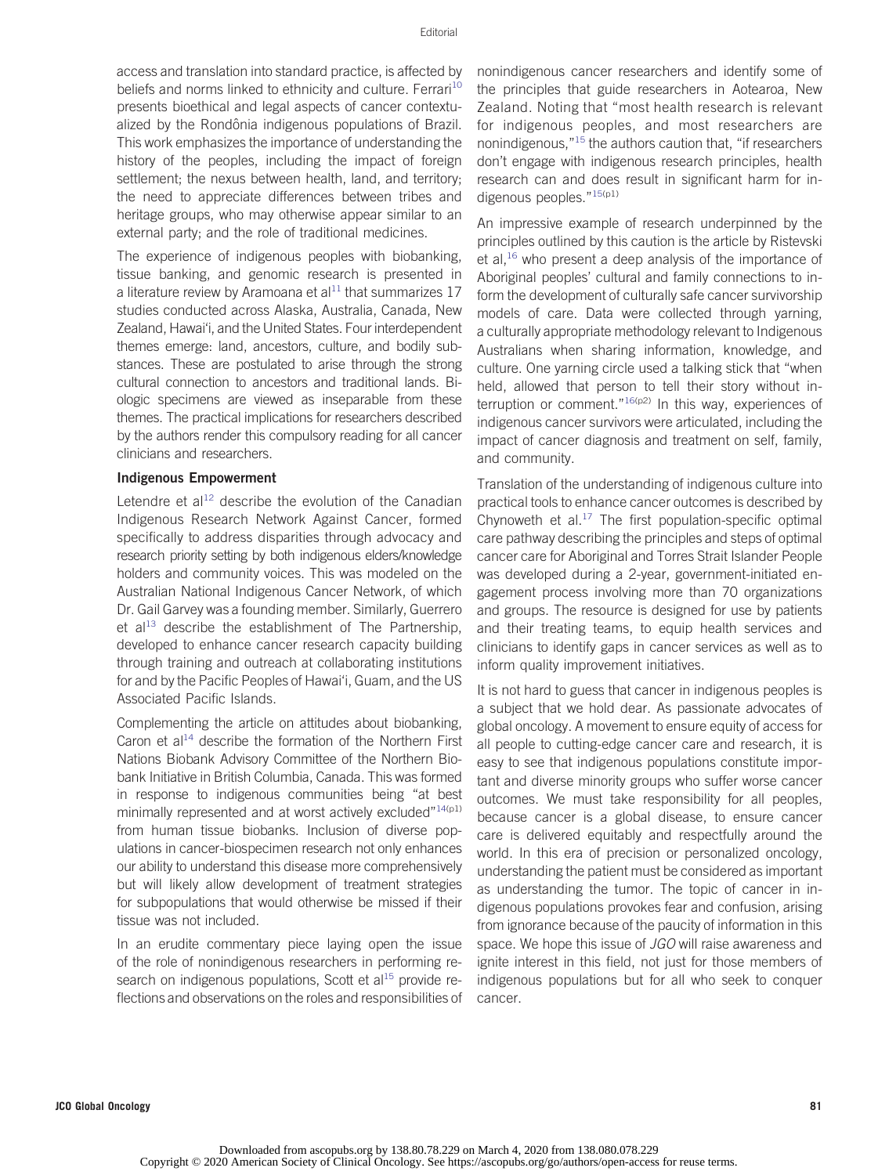access and translation into standard practice, is affected by beliefs and norms linked to ethnicity and culture. Ferrari<sup>[10](#page-3-9)</sup> presents bioethical and legal aspects of cancer contextualized by the Rondônia indigenous populations of Brazil. This work emphasizes the importance of understanding the history of the peoples, including the impact of foreign settlement; the nexus between health, land, and territory; the need to appreciate differences between tribes and heritage groups, who may otherwise appear similar to an external party; and the role of traditional medicines.

The experience of indigenous peoples with biobanking, tissue banking, and genomic research is presented in a literature review by Aramoana et al $11$  that summarizes 17 studies conducted across Alaska, Australia, Canada, New Zealand, Hawai'i, and the United States. Four interdependent themes emerge: land, ancestors, culture, and bodily substances. These are postulated to arise through the strong cultural connection to ancestors and traditional lands. Biologic specimens are viewed as inseparable from these themes. The practical implications for researchers described by the authors render this compulsory reading for all cancer clinicians and researchers.

#### Indigenous Empowerment

Letendre et al<sup>[12](#page-3-11)</sup> describe the evolution of the Canadian Indigenous Research Network Against Cancer, formed specifically to address disparities through advocacy and research priority setting by both indigenous elders/knowledge holders and community voices. This was modeled on the Australian National Indigenous Cancer Network, of which Dr. Gail Garvey was a founding member. Similarly, Guerrero et al<sup>[13](#page-3-12)</sup> describe the establishment of The Partnership, developed to enhance cancer research capacity building through training and outreach at collaborating institutions for and by the Pacific Peoples of Hawai'i, Guam, and the US Associated Pacific Islands.

Complementing the article on attitudes about biobanking, Caron et al<sup>14</sup> describe the formation of the Northern First Nations Biobank Advisory Committee of the Northern Biobank Initiative in British Columbia, Canada. This was formed in response to indigenous communities being "at best minimally represented and at worst actively excluded"<sup>[14](#page-3-13)(p1)</sup> from human tissue biobanks. Inclusion of diverse populations in cancer-biospecimen research not only enhances our ability to understand this disease more comprehensively but will likely allow development of treatment strategies for subpopulations that would otherwise be missed if their tissue was not included.

In an erudite commentary piece laying open the issue of the role of nonindigenous researchers in performing research on indigenous populations, Scott et al $15$  provide reflections and observations on the roles and responsibilities of

nonindigenous cancer researchers and identify some of the principles that guide researchers in Aotearoa, New Zealand. Noting that "most health research is relevant for indigenous peoples, and most researchers are nonindigenous,"[15](#page-3-14) the authors caution that, "if researchers don't engage with indigenous research principles, health research can and does result in significant harm for in-digenous peoples."<sup>[15\(](#page-3-14)p1)</sup>

An impressive example of research underpinned by the principles outlined by this caution is the article by Ristevski et al, $16$  who present a deep analysis of the importance of Aboriginal peoples' cultural and family connections to inform the development of culturally safe cancer survivorship models of care. Data were collected through yarning, a culturally appropriate methodology relevant to Indigenous Australians when sharing information, knowledge, and culture. One yarning circle used a talking stick that "when held, allowed that person to tell their story without interruption or comment." $16(p2)$  $16(p2)$  In this way, experiences of indigenous cancer survivors were articulated, including the impact of cancer diagnosis and treatment on self, family, and community.

Translation of the understanding of indigenous culture into practical tools to enhance cancer outcomes is described by Chynoweth et al. $^{17}$  $^{17}$  $^{17}$  The first population-specific optimal care pathway describing the principles and steps of optimal cancer care for Aboriginal and Torres Strait Islander People was developed during a 2-year, government-initiated engagement process involving more than 70 organizations and groups. The resource is designed for use by patients and their treating teams, to equip health services and clinicians to identify gaps in cancer services as well as to inform quality improvement initiatives.

It is not hard to guess that cancer in indigenous peoples is a subject that we hold dear. As passionate advocates of global oncology. A movement to ensure equity of access for all people to cutting-edge cancer care and research, it is easy to see that indigenous populations constitute important and diverse minority groups who suffer worse cancer outcomes. We must take responsibility for all peoples, because cancer is a global disease, to ensure cancer care is delivered equitably and respectfully around the world. In this era of precision or personalized oncology, understanding the patient must be considered as important as understanding the tumor. The topic of cancer in indigenous populations provokes fear and confusion, arising from ignorance because of the paucity of information in this space. We hope this issue of JGO will raise awareness and ignite interest in this field, not just for those members of indigenous populations but for all who seek to conquer cancer.